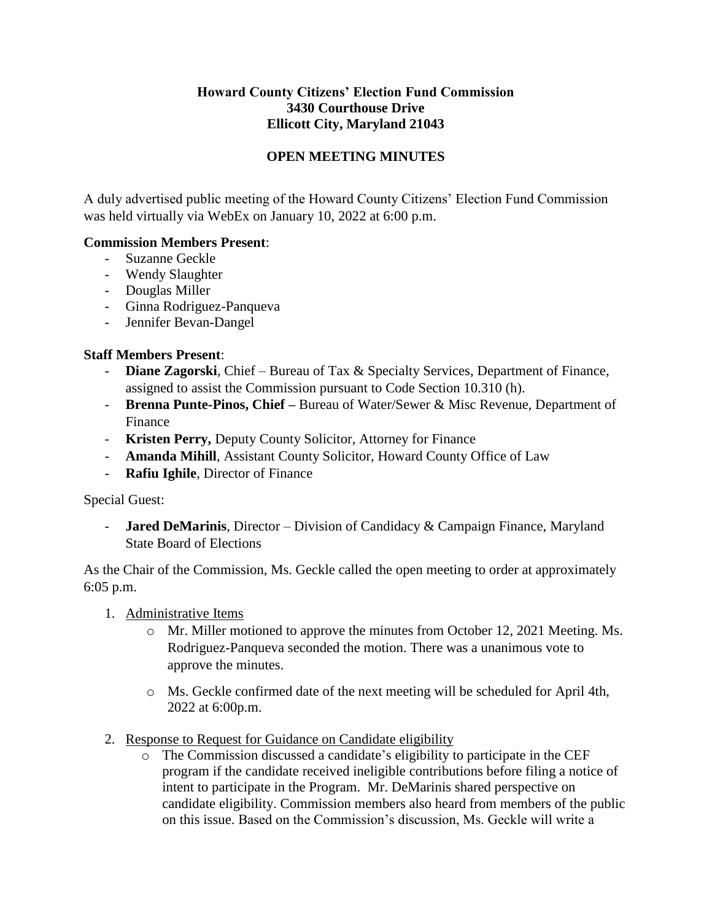## **Howard County Citizens' Election Fund Commission 3430 Courthouse Drive Ellicott City, Maryland 21043**

## **OPEN MEETING MINUTES**

A duly advertised public meeting of the Howard County Citizens' Election Fund Commission was held virtually via WebEx on January 10, 2022 at 6:00 p.m.

## **Commission Members Present**:

- Suzanne Geckle
- Wendy Slaughter
- Douglas Miller
- Ginna Rodriguez-Panqueva
- Jennifer Bevan-Dangel

## **Staff Members Present**:

- **Diane Zagorski**, Chief Bureau of Tax & Specialty Services, Department of Finance, assigned to assist the Commission pursuant to Code Section 10.310 (h).
- **Brenna Punte-Pinos, Chief –** Bureau of Water/Sewer & Misc Revenue, Department of Finance
- **Kristen Perry,** Deputy County Solicitor, Attorney for Finance
- **Amanda Mihill**, Assistant County Solicitor, Howard County Office of Law
- **Rafiu Ighile**, Director of Finance

Special Guest:

**Jared DeMarinis**, Director – Division of Candidacy & Campaign Finance, Maryland State Board of Elections

As the Chair of the Commission, Ms. Geckle called the open meeting to order at approximately 6:05 p.m.

- 1. Administrative Items
	- o Mr. Miller motioned to approve the minutes from October 12, 2021 Meeting. Ms. Rodriguez-Panqueva seconded the motion. There was a unanimous vote to approve the minutes.
	- o Ms. Geckle confirmed date of the next meeting will be scheduled for April 4th, 2022 at 6:00p.m.
- 2. Response to Request for Guidance on Candidate eligibility
	- o The Commission discussed a candidate's eligibility to participate in the CEF program if the candidate received ineligible contributions before filing a notice of intent to participate in the Program. Mr. DeMarinis shared perspective on candidate eligibility. Commission members also heard from members of the public on this issue. Based on the Commission's discussion, Ms. Geckle will write a